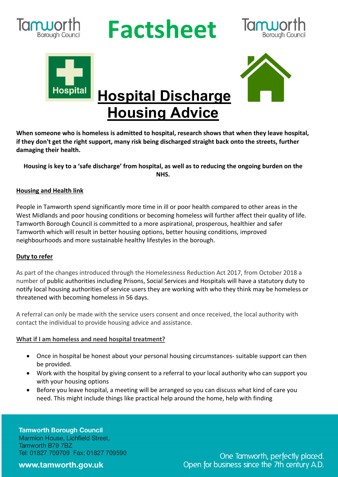

## **Ruporth Factsheet**







 **Hospital Discharge Housing Advice**

**When someone who is homeless is admitted to hospital, research shows that when they leave hospital, if they don't get the right support, many risk being discharged straight back onto the streets, further damaging their health.**

**Housing is key to a 'safe discharge' from hospital, as well as to reducing the ongoing burden on the NHS.**

### **Housing and Health link**

People in Tamworth spend significantly more time in ill or poor health compared to other areas in the West Midlands and poor housing conditions or becoming homeless will further affect their quality of life. Tamworth Borough Council is committed to a more aspirational, prosperous, healthier and safer Tamworth which will result in better housing options, better housing conditions, improved neighbourhoods and more sustainable healthy lifestyles in the borough.

#### **Duty to refer**

As part of the changes introduced through the Homelessness Reduction Act 2017, from October 2018 a number of public authorities including Prisons, Social Services and Hospitals will have a statutory duty to notify local housing authorities of service users they are working with who they think may be homeless or threatened with becoming homeless in 56 days.

A referral can only be made with the service users consent and once received, the local authority with contact the individual to provide housing advice and assistance.

#### **What if I am homeless and need hospital treatment?**

- Once in hospital be honest about your personal housing circumstances- suitable support can then be provided.
- Work with the hospital by giving consent to a referral to your local authority who can support you with your housing options
- Before you leave hospital, a meeting will be arranged so you can discuss what kind of care you need. This might include things like practical help around the home, help with finding

**Tamworth Borough Council** Marmion House, Lichfield Street, Tamworth B79 7BZ Tel: 01827 709709 Fax: 01827 709590

www.tamworth.gov.uk

One Tamworth, perfectly placed. Open for business since the 7th century A.D.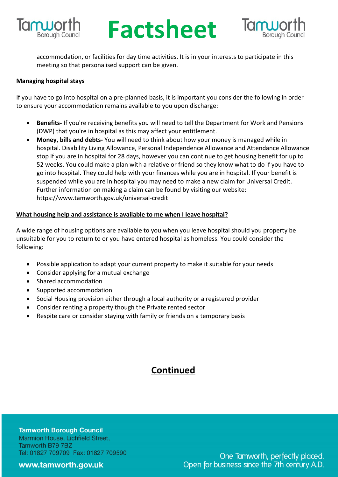

## **Factsheet** Borough Council **Factsheet** accommodation, or facilities for day time activities. It is in your interests to participate in this



meeting so that personalised support can be given.

### **Managing hospital stays**

If you have to go into hospital on a pre-planned basis, it is important you consider the following in order to ensure your accommodation remains available to you upon discharge:

- **Benefits-** If you're receiving benefits you will need to tell the Department for Work and Pensions (DWP) that you're in hospital as this may affect your entitlement.
- **Money, bills and debts-** You will need to think about how your money is managed while in hospital. Disability Living Allowance, Personal Independence Allowance and Attendance Allowance stop if you are in hospital for 28 days, however you can continue to get housing benefit for up to 52 weeks. You could make a plan with a relative or friend so they know what to do if you have to go into hospital. They could help with your finances while you are in hospital. If your benefit is suspended while you are in hospital you may need to make a new claim for Universal Credit. Further information on making a claim can be found by visiting our website: https://www.tamworth.gov.uk/universal-credit

### **What housing help and assistance is available to me when I leave hospital?**

A wide range of housing options are available to you when you leave hospital should you property be unsuitable for you to return to or you have entered hospital as homeless. You could consider the following:

- Possible application to adapt your current property to make it suitable for your needs
- Consider applying for a mutual exchange
- Shared accommodation
- Supported accommodation
- Social Housing provision either through a local authority or a registered provider
- Consider renting a property though the Private rented sector
- Respite care or consider staying with family or friends on a temporary basis

### **Continued**

**Tamworth Borough Council** Marmion House, Lichfield Street, Tamworth B79 7BZ Tel: 01827 709709 Fax: 01827 709590

www.tamworth.gov.uk

One Tamworth, perfectly placed. Open for business since the 7th century A.D.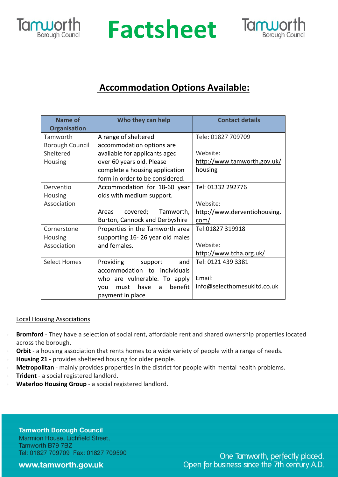

### **RUPOLING Factsheet**



### **Accommodation Options Available:**

| <b>Name of</b>         | Who they can help                   | <b>Contact details</b>       |
|------------------------|-------------------------------------|------------------------------|
| <b>Organisation</b>    |                                     |                              |
| Tamworth               | A range of sheltered                | Tele: 01827 709709           |
| <b>Borough Council</b> | accommodation options are           |                              |
| Sheltered              | available for applicants aged       | Website:                     |
| Housing                | over 60 years old. Please           | http://www.tamworth.gov.uk/  |
|                        | complete a housing application      | housing                      |
|                        | form in order to be considered.     |                              |
| Derventio              | Accommodation for 18-60 year        | Tel: 01332 292776            |
| Housing                | olds with medium support.           |                              |
| Association            |                                     | Website:                     |
|                        | covered;<br>Tamworth,<br>Areas      | http://www.derventiohousing. |
|                        | Burton, Cannock and Derbyshire      | com/                         |
| Cornerstone            | Properties in the Tamworth area     | Tel:01827 319918             |
| Housing                | supporting 16-26 year old males     |                              |
| Association            | and females.                        | Website:                     |
|                        |                                     | http://www.tcha.org.uk/      |
| <b>Select Homes</b>    | Providing<br>and<br>support         | Tel: 0121 439 3381           |
|                        | accommodation to individuals        |                              |
|                        | who are vulnerable. To apply        | Email:                       |
|                        | have<br>benefit<br>must<br>vou<br>a | info@selecthomesukltd.co.uk  |
|                        | payment in place                    |                              |

### Local Housing Associations

- **Bromford** They have a selection of social rent, affordable rent and shared ownership properties located across the borough.
- Orbit a housing association that rents homes to a wide variety of people with a range of needs.
- **Housing 21** provides sheltered housing for older people.
- **Metropolitan** mainly provides properties in the district for people with mental health problems.
- **Trident** a social registered landlord.
- **Waterloo Housing Group** a social registered landlord.

**Tamworth Borough Council** Marmion House, Lichfield Street, Tamworth B79 7BZ Tel: 01827 709709 Fax: 01827 709590

### www.tamworth.gov.uk

One Tamworth, perfectly placed. Open for business since the 7th century A.D.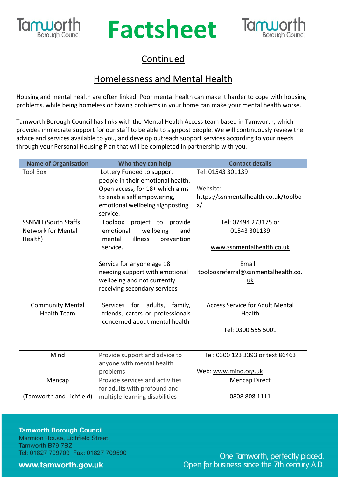

# **Factsheet** Continued



### Homelessness and Mental Health

Housing and mental health are often linked. Poor mental health can make it harder to cope with housing problems, while being homeless or having problems in your home can make your mental health worse.

Tamworth Borough Council has links with the Mental Health Access team based in Tamworth, which provides immediate support for our staff to be able to signpost people. We will continuously review the advice and services available to you, and develop outreach support services according to your needs through your Personal Housing Plan that will be completed in partnership with you.

| <b>Name of Organisation</b> | Who they can help                        | <b>Contact details</b>                 |
|-----------------------------|------------------------------------------|----------------------------------------|
| <b>Tool Box</b>             | Lottery Funded to support                | Tel: 01543 301139                      |
|                             | people in their emotional health.        |                                        |
|                             | Open access, for 18+ which aims          | Website:                               |
|                             | to enable self empowering,               | https://ssnmentalhealth.co.uk/toolbo   |
|                             | emotional wellbeing signposting          | <u>x/</u>                              |
|                             | service.                                 |                                        |
| <b>SSNMH (South Staffs</b>  | Toolbox<br>project to provide            | Tel: 07494 273175 or                   |
| <b>Network for Mental</b>   | wellbeing<br>emotional<br>and<br>illness | 01543 301139                           |
| Health)                     | prevention<br>mental<br>service.         | www.ssnmentalhealth.co.uk              |
|                             | Service for anyone age 18+               | $Email -$                              |
|                             | needing support with emotional           | toolboxreferral@ssnmentalhealth.co.    |
|                             | wellbeing and not currently              | uk                                     |
|                             | receiving secondary services             |                                        |
| <b>Community Mental</b>     | for<br>adults,<br>family,<br>Services    | <b>Access Service for Adult Mental</b> |
| <b>Health Team</b>          | friends, carers or professionals         | Health                                 |
|                             | concerned about mental health            |                                        |
|                             |                                          | Tel: 0300 555 5001                     |
|                             |                                          |                                        |
| Mind                        | Provide support and advice to            | Tel: 0300 123 3393 or text 86463       |
|                             | anyone with mental health                |                                        |
|                             | problems                                 | Web: www.mind.org.uk                   |
| Mencap                      | Provide services and activities          | <b>Mencap Direct</b>                   |
| (Tamworth and Lichfield)    | for adults with profound and             |                                        |
|                             | multiple learning disabilities           | 0808 808 1111                          |

**Tamworth Borough Council** Marmion House, Lichfield Street, Tamworth B79 7BZ Tel: 01827 709709 Fax: 01827 709590

www.tamworth.gov.uk